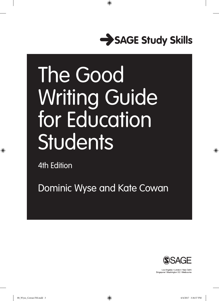

# The Good Writing Guide for Education **Students**

 $\bigoplus$ 

4th Edition

⊕

Dominic Wyse and Kate Cowan



Los Angeles | London | New Delhi<br>Singapore | Washington DC | Melbourne

◈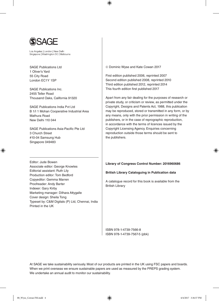

Los Angeles | London | New Delhi Singapore | Washington DC | Melbourne

SAGE Publications Ltd 1 Oliver's Yard 55 City Road London EC1Y 1SP

SAGE Publications Inc. 2455 Teller Road Thousand Oaks, California 91320

SAGE Publications India Pvt Ltd B 1/I 1 Mohan Cooperative Industrial Area Mathura Road New Delhi 110 044

SAGE Publications Asia-Pacific Pte Ltd 3 Church Street #10-04 Samsung Hub Singapore 049483

Associate editor: George Knowles Editorial assistant: Ruth Lily

Editor: Jude Bowen

⊕

Dominic Wyse and Kate Cowan 2017

 $\bigoplus$ 

First edition published 2006, reprinted 2007 Second edition published 2008, reprinted 2010 Third edition published 2012, reprinted 2014 This fourth edition first published 2017

Apart from any fair dealing for the purposes of research or private study, or criticism or review, as permitted under the Copyright, Designs and Patents Act, 1988, this publication may be reproduced, stored or transmitted in any form, or by any means, only with the prior permission in writing of the publishers, or in the case of reprographic reproduction, in accordance with the terms of licences issued by the Copyright Licensing Agency. Enquiries concerning reproduction outside those terms should be sent to the publishers.

**Library of Congress Control Number: 2016960686**

**British Library Cataloguing in Publication data**

A catalogue record for this book is available from the British Library

ISBN 978-1-4739-7566-8 ISBN 978-1-4739-7567-5 (pbk)

At SAGE we take sustainability seriously. Most of our products are printed in the UK using FSC papers and boards. When we print overseas we ensure sustainable papers are used as measured by the PREPS grading system. We undertake an annual audit to monitor our sustainability.

Production editor: Tom Bedford Copyeditor: Gemma Marren Proofreader: Andy Barter Indexer: Gary Kirby Marketing manager: Dilhara Attygalle Cover design: Sheila Tong Typeset by: C&M Digitals (P) Ltd, Chennai, India Printed in the UK

♠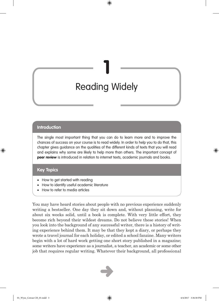# Reading Widely

**1**

 $\bigoplus$ 

# **Introduction**

The single most important thing that you can do to learn more and to improve the chances of success on your course is to read widely. In order to help you to do that, this chapter gives guidance on the qualities of the different kinds of texts that you will read and explains why some are likely to help more than others. The important concept of **peer review** is introduced in relation to internet texts, academic journals and books.

# **Key Topics**

⊕

- How to get started with reading
- How to identify useful academic literature
- How to refer to media articles

You may have heard stories about people with no previous experience suddenly writing a bestseller. One day they sit down and, without planning, write for about six weeks solid, until a book is complete. With very little effort, they become rich beyond their wildest dreams. Do not believe these stories! When you look into the background of any successful writer, there is a history of writing experience behind them. It may be that they kept a diary, or perhaps they wrote a travel journal for each holiday, or edited a school fanzine. Many writers begin with a lot of hard work getting one short story published in a magazine; some writers have experience as a journalist, a teacher, an academic or some other job that requires regular writing. Whatever their background, all professional

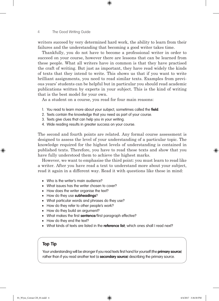writers succeed by very determined hard work, the ability to learn from their failures and the understanding that becoming a good writer takes time.

 $\textcircled{\scriptsize{*}}$ 

Thankfully, you do not have to become a professional writer in order to succeed on your course, however there are lessons that can be learned from these people. What all writers have in common is that they have practised the craft of writing. But just as important, they have read widely the kinds of texts that they intend to write. This shows us that if you want to write brilliant assignments, you need to read similar texts. Examples from previous years' students can be helpful but in particular you should read academic publications written by experts in your subject. This is the kind of writing that is the best model for your own.

As a student on a course, you read for four main reasons:

- 1. You read to learn more about your subject, sometimes called the **field**.
- 2. Texts contain the knowledge that you need as part of your course.
- 3. Texts give clues that can help you in your writing.
- 4. Wide reading results in greater success on your course.

The second and fourth points are related. Any formal course assessment is designed to assess the level of your understanding of a particular topic. The knowledge required for the highest levels of understanding is contained in published texts. Therefore, you have to read these texts and show that you have fully understood them to achieve the highest marks.

However, we want to emphasise the third point: you must learn to read like a writer. After you have read a text to understand more about your subject, read it again in a different way. Read it with questions like these in mind:

- Who is the writer's main audience?
- What issues has the writer chosen to cover?
- How does the writer organise the text?
- How do they use **subheadings**?
- What particular words and phrases do they use?
- How do they refer to other people's work?
- How do they build an argument?
- What makes the first **sentence**/first paragraph effective?
- How do they end the text?
- What kinds of texts are listed in the **reference list**; which ones shall I read next?

### **Top Tip**

Your understanding will be stronger if you read texts first hand for yourself (the **primary source**) rather than if you read another text (a **secondary source**) describing the primary source.

♠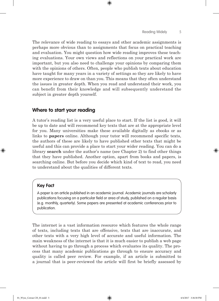The relevance of wide reading to essays and other academic assignments is perhaps more obvious than to assignments that focus on practical teaching and evaluation. You might question how wide reading improves these teaching evaluations. Your own views and reflections on your practical work are important, but you also need to challenge your opinions by comparing them with the opinions of others. Often, people who publish texts about education have taught for many years in a variety of settings so they are likely to have more experience to draw on than you. This means that they often understand the issues in greater depth. When you read and understand their work, you can benefit from their knowledge and will subsequently understand the subject in greater depth yourself.

 $\textcircled{\scriptsize{*}}$ 

# **Where to start your reading**

A tutor's reading list is a very useful place to start. If the list is good, it will be up to date and will recommend key texts that are at the appropriate level for you. Many universities make these available digitally as ebooks or as links to **papers** online. Although your tutor will recommend specific texts, the authors of these are likely to have published other texts that might be useful and this can provide a place to start your wider reading. You can do a library **search** under the author's name (see Chapter 2) to find other things that they have published. Another option, apart from books and papers, is searching online. But before you decide which kind of text to read, you need to understand about the qualities of different texts.

### **Key Fact**

⊕

A paper is an article published in an academic journal. Academic journals are scholarly publications focusing on a particular field or area of study, published on a regular basis (e.g. monthly, quarterly). Some papers are presented at academic conferences prior to publication.

The internet is a vast information resource which features the whole range of texts, including texts that are offensive, texts that are inaccurate, and other texts with a very high level of accurate and useful information. The main weakness of the internet is that it is much easier to publish a web page without having to go through a process which evaluates its quality. The process that many academic publications go through to ensure accuracy and quality is called peer review. For example, if an article is submitted to a journal that is peer-reviewed the article will first be briefly assessed by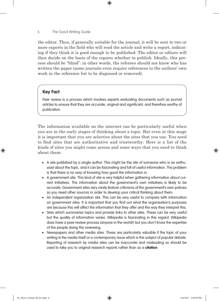the editor. Then, if generally suitable for the journal, it will be sent to two or more experts in the field who will read the article and write a report, indicating if they think it is good enough to be published. The editor or editors will then decide on the basis of the reports whether to publish. Ideally, this process should be "blind": in other words, the referees should not know who has written the paper (some journals even require references to the authors' own work in the reference list to be disguised or removed).

 $\textcircled{\scriptsize{*}}$ 

#### **Key Fact**

♠

Peer review is a process which involves experts evaluating documents such as journal articles to ensure that they are accurate, original and significant, and therefore worthy of publication.

The information available on the internet can be particularly useful when you are in the early stages of thinking about a topic. But even at this stage it is important that you are selective about the sites that you use. You need to find sites that are authoritative and trustworthy. Here is a list of the kinds of sites you might come across and some ways that you need to think about them:

- A site published by a single author. This might be the site of someone who is an enthusiast about the topic, and it can be fascinating and full of useful information. The problem is that there is no way of knowing how good the information is.
- A government site. This kind of site is very helpful when gathering information about current initiatives. The information about the government's own initiatives is likely to be accurate. Government sites very rarely feature criticisms of the government's own policies so you need other sources in order to develop your critical thinking about them.
- An independent organisation site. This can be very useful to compare with information on government sites. It is important that you find out what the organisation's purposes are because this will affect the information that they offer and the way they interpret this.
- Sites which summarise topics and provide links to other sites. These can be very useful but the quality of information varies. Wikipedia is fascinating in this regard. Wikipedia does have a peer-review process (anyone in the world!) but you don't know the expertise of the people doing the reviewing.
- Newspapers and other media sites. These are particularly valuable if the topic of your writing is the media itself or a contemporary issue which is the subject of popular debate. Reporting of research by media sites can be inaccurate and misleading so should be used to take you to original research reports rather than as a **citation**.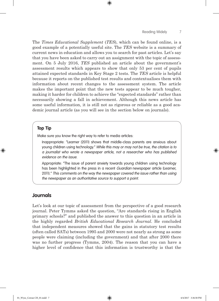The *Times Educational Supplement* (*TES*), which can be found online, is a good example of a potentially useful site. The *TES* website is a summary of current news in education and allows you to search for past articles. Let's say that you have been asked to carry out an assignment with the topic of assessment. On 5 July 2016, *TES* published an article about the government's assessment results which appears to show that only 53 per cent of pupils attained expected standards in Key Stage 2 tests. The *TES* article is helpful because it reports on the published test results and contextualises them with information about recent changes to the assessment system. The article makes the important point that the new tests appear to be much tougher, making it harder for children to achieve the "expected standards" rather than necessarily showing a fall in achievement. Although this news article has some useful information, it is still not as rigorous or reliable as a good academic journal article (as you will see in the section below on journals).

 $\textcircled{\scriptsize{*}}$ 

# **Top Tip**

⊕

Make sure you know the right way to refer to media articles:

Inappropriate: "Learner (2011) shows that middle-class parents are anxious about young children using technology." While this may or may not be true, the citation is to a journalist who wrote a newspaper article, not a researcher who has published evidence on the issue.

Appropriate: "The issue of parent anxiety towards young children using technology has been highlighted in the press in a recent *Guardian* newspaper article (Learner, 2011)." This comments on the way the newspaper covered the issue rather than using the newspaper as an authoritative source to support a point.

# **Journals**

Let's look at our topic of assessment from the perspective of a good research journal. Peter Tymms asked the question, "Are standards rising in English primary schools?" and published the answer to this question in an article in the highly regarded *British Educational Research Journal*. He concluded that independent measures showed that the gains in statutory test results (often called SATs) between 1995 and 2000 were not nearly as strong as some people were claiming (including the government) and that after 2000 there was no further progress (Tymms, 2004). The reason that you can have a higher level of confidence that this information is trustworthy is that the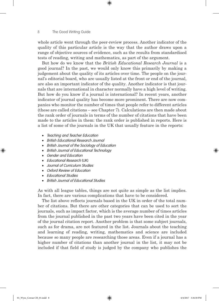whole article went through the peer-review process. Another indicator of the quality of this particular article is the way that the author draws upon a range of objective sources of evidence, such as the results from standardised tests of reading, writing and mathematics, as part of the argument.

⊕

But how do we know that the *British Educational Research Journal* is a good journal? In the past, we would only know this primarily by making a judgement about the quality of its articles over time. The people on the journal's editorial board, who are usually listed at the front or end of the journal, are also an important indicator of the quality. Another indicator is that journals that are international in character normally have a high level of writing. But how do you know if a journal is international? In recent years, another indicator of journal quality has become more prominent. There are now companies who monitor the number of times that people refer to different articles (these are called citations – see Chapter 7). Calculations are then made about the rank order of journals in terms of the number of citations that have been made to the articles in them: the rank order is published in reports. Here is a list of some of the journals in the UK that usually feature in the reports:

- *Teaching and Teacher Education*
- *British Educational Research Journal*
- *British Journal of the Sociology of Education*
- *British Journal of Educational Technology*
- *Gender and Education*

⊕

- *Educational Research* (UK)
- *Journal of Curriculum Studies*
- *Oxford Review of Education*
- *Educational Studies*
- *British Journal of Educational Studies*

As with all league tables, things are not quite as simple as the list implies. In fact, there are various complications that have to be considered.

The list above reflects journals based in the UK in order of the total number of citations. But there are other categories that can be used to sort the journals, such as impact factor, which is the average number of times articles from the journal published in the past two years have been cited in the year of the journal citation report. Another problem is that some subject journals, such as for drama, are not featured in the list. Journals about the teaching and learning of reading, writing, mathematics and science are included because so many people are researching those areas. Even if a journal has a higher number of citations than another journal in the list, it may not be included if that field of study is judged by the company who publishes the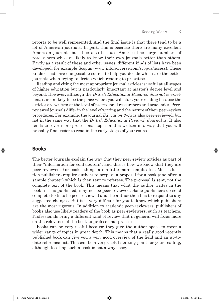reports to be well represented. And the final issue is that there tend to be a lot of American journals. In part, this is because there are many excellent American journals but it is also because America has large numbers of researchers who are likely to know their own journals better than others. Partly as a result of these and other issues, different kinds of lists have been developed, for example Scopus (www.info.sciverse.com/scopus/access). These kinds of lists are one possible source to help you decide which are the better journals when trying to decide which reading to prioritise.

 $\textcircled{\scriptsize{*}}$ 

Reading and citing the most appropriate journal articles is useful at all stages of higher education but is particularly important at master's degree level and beyond. However, although the *British Educational Research Journal* is excellent, it is unlikely to be the place where you will start your reading because the articles are written at the level of professional researchers and academics. Peerreviewed journals differ in the level of writing and the nature of their peer-review procedures. For example, the journal *Education 3–13* is also peer-reviewed, but not in the same way that the *British Educational Research Journal* is. It also tends to cover more professional topics and is written in a way that you will probably find easier to read in the early stages of your course.

# **Books**

⊕

The better journals explain the way that they peer-review articles as part of their "information for contributors", and this is how we know that they are peer-reviewed. For books, things are a little more complicated. Most education publishers require authors to prepare a proposal for a book (and often a sample chapter) which is then sent to referees. The proposal is sent, not the complete text of the book. This means that what the author writes in the book, if it is published, may not be peer-reviewed. Some publishers do send complete texts to be peer-reviewed and the author then has to respond to any suggested changes. But it is very difficult for you to know which publishers are the most rigorous. In addition to academic peer-reviewers, publishers of books also use likely readers of the book as peer-reviewers, such as teachers. Professionals bring a different kind of review that in general will focus more on the relevance of the book to professional practice.

Books can be very useful because they give the author space to cover a wider range of topics in great depth. This means that a really good recently published book can give you a very good overview of the field and an up-todate reference list. This can be a very useful starting point for your reading, although locating such a book is not always easy.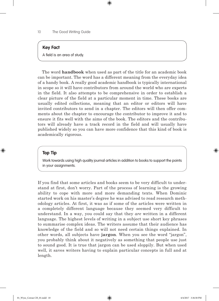# **Key Fact**

A field is an area of study.

The word **handbook** when used as part of the title for an academic book can be important. The word has a different meaning from the everyday idea of a handy book. A really good academic handbook is typically international in scope so it will have contributors from around the world who are experts in the field. It also attempts to be comprehensive in order to establish a clear picture of the field at a particular moment in time. These books are usually edited collections, meaning that an editor or editors will have invited contributors to send in a chapter. The editors will then offer comments about the chapter to encourage the contributor to improve it and to ensure it fits well with the aims of the book. The editors and the contributors will already have a track record in the field and will usually have published widely so you can have more confidence that this kind of book is academically rigorous.

 $\bigoplus$ 

#### **Top Tip**

⊕

Work towards using high quality journal articles in addition to books to support the points in your assignments.

If you find that some articles and books seem to be very difficult to understand at first, don't worry. Part of the process of learning is the growing ability to cope with more and more demanding texts. When Dominic started work on his master's degree he was advised to read research methodology articles. At first, it was as if some of the articles were written in a completely different language because they seemed very difficult to understand. In a way, you could say that they *are* written in a different language. The highest levels of writing in a subject use short key phrases to summarise complex ideas. The writers assume that their audience has knowledge of the field and so will not need certain things explained. In other words, all subjects have **jargon***.* When you see the word "jargon", you probably think about it negatively as something that people use just to sound good. It is true that jargon can be used sloppily. But when used well, it saves writers having to explain particular concepts in full and at length.

 $\bigoplus$